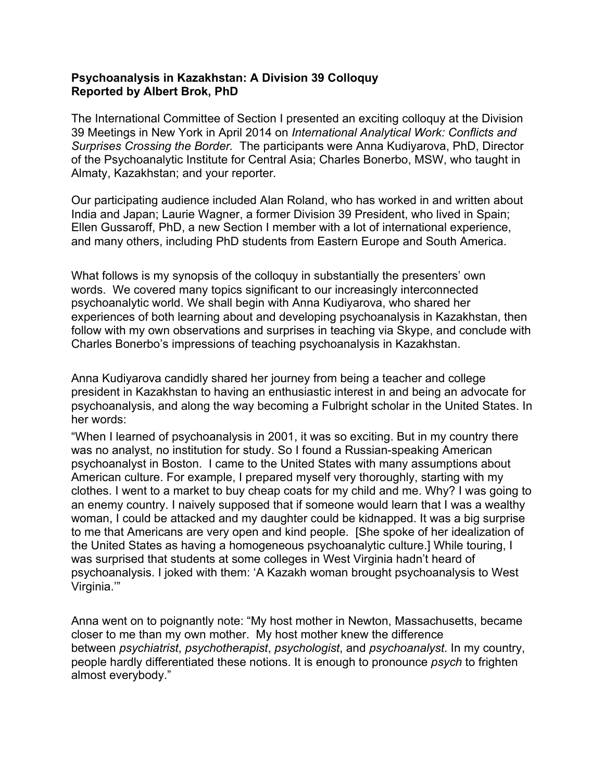## **Psychoanalysis in Kazakhstan: A Division 39 Colloquy Reported by Albert Brok, PhD**

The International Committee of Section I presented an exciting colloquy at the Division 39 Meetings in New York in April 2014 on *International Analytical Work: Conflicts and Surprises Crossing the Border.* The participants were Anna Kudiyarova, PhD, Director of the Psychoanalytic Institute for Central Asia; Charles Bonerbo, MSW, who taught in Almaty, Kazakhstan; and your reporter*.*

Our participating audience included Alan Roland, who has worked in and written about India and Japan; Laurie Wagner, a former Division 39 President, who lived in Spain; Ellen Gussaroff, PhD, a new Section I member with a lot of international experience, and many others, including PhD students from Eastern Europe and South America.

What follows is my synopsis of the colloquy in substantially the presenters' own words. We covered many topics significant to our increasingly interconnected psychoanalytic world. We shall begin with Anna Kudiyarova, who shared her experiences of both learning about and developing psychoanalysis in Kazakhstan, then follow with my own observations and surprises in teaching via Skype, and conclude with Charles Bonerbo's impressions of teaching psychoanalysis in Kazakhstan.

Anna Kudiyarova candidly shared her journey from being a teacher and college president in Kazakhstan to having an enthusiastic interest in and being an advocate for psychoanalysis, and along the way becoming a Fulbright scholar in the United States. In her words:

"When I learned of psychoanalysis in 2001, it was so exciting. But in my country there was no analyst, no institution for study. So I found a Russian-speaking American psychoanalyst in Boston. I came to the United States with many assumptions about American culture. For example, I prepared myself very thoroughly, starting with my clothes. I went to a market to buy cheap coats for my child and me. Why? I was going to an enemy country. I naively supposed that if someone would learn that I was a wealthy woman, I could be attacked and my daughter could be kidnapped. It was a big surprise to me that Americans are very open and kind people. [She spoke of her idealization of the United States as having a homogeneous psychoanalytic culture.] While touring, I was surprised that students at some colleges in West Virginia hadn't heard of psychoanalysis. I joked with them: 'A Kazakh woman brought psychoanalysis to West Virginia.'"

Anna went on to poignantly note: "My host mother in Newton, Massachusetts, became closer to me than my own mother. My host mother knew the difference between *psychiatrist*, *psychotherapist*, *psychologist*, and *psychoanalyst*. In my country, people hardly differentiated these notions. It is enough to pronounce *psych* to frighten almost everybody."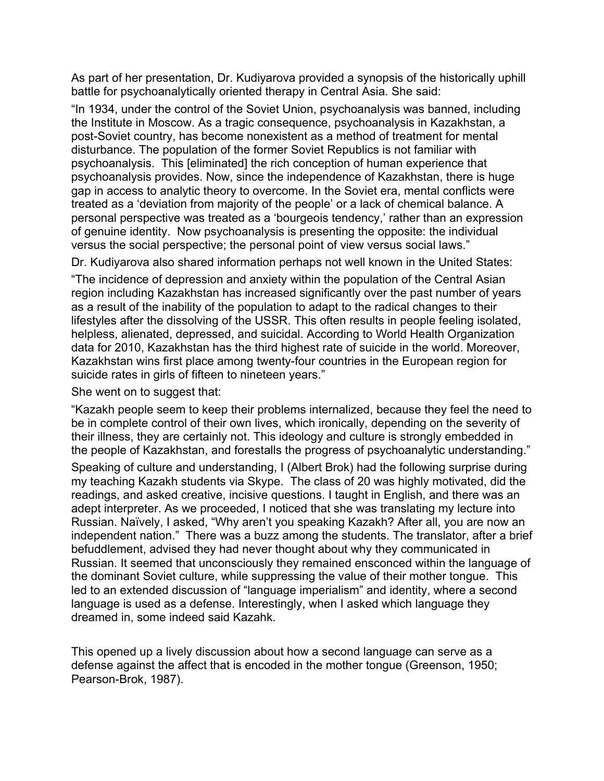As part of her presentation, Dr. Kudiyarova provided a synopsis of the historically uphill battle for psychoanalytically oriented therapy in Central Asia. She said:

"In 1934, under the control of the Soviet Union, psychoanalysis was banned, including the Institute in Moscow. As a tragic consequence, psychoanalysis in Kazakhstan, a post-Soviet country, has become nonexistent as a method of treatment for mental disturbance. The population of the former Soviet Republics is not familiar with psychoanalysis. This [eliminated] the rich conception of human experience that psychoanalysis provides. Now, since the independence of Kazakhstan, there is huge gap in access to analytic theory to overcome. In the Soviet era, mental conflicts were treated as a 'deviation from majority of the people' or a lack of chemical balance. A personal perspective was treated as a 'bourgeois tendency,' rather than an expression of genuine identity. Now psychoanalysis is presenting the opposite: the individual versus the social perspective; the personal point of view versus social laws."

Dr. Kudiyarova also shared information perhaps not well known in the United States:

"The incidence of depression and anxiety within the population of the Central Asian region including Kazakhstan has increased significantly over the past number of years as a result of the inability of the population to adapt to the radical changes to their lifestyles after the dissolving of the USSR. This often results in people feeling isolated, helpless, alienated, depressed, and suicidal. According to World Health Organization data for 2010, Kazakhstan has the third highest rate of suicide in the world. Moreover, Kazakhstan wins first place among twenty-four countries in the European region for suicide rates in girls of fifteen to nineteen years."

She went on to suggest that:

"Kazakh people seem to keep their problems internalized, because they feel the need to be in complete control of their own lives, which ironically, depending on the severity of their illness, they are certainly not. This ideology and culture is strongly embedded in the people of Kazakhstan, and forestalls the progress of psychoanalytic understanding."

Speaking of culture and understanding, I (Albert Brok) had the following surprise during my teaching Kazakh students via Skype. The class of 20 was highly motivated, did the readings, and asked creative, incisive questions. I taught in English, and there was an adept interpreter. As we proceeded, I noticed that she was translating my lecture into Russian. Naïvely, I asked, "Why aren't you speaking Kazakh? After all, you are now an independent nation." There was a buzz among the students. The translator, after a brief befuddlement, advised they had never thought about why they communicated in Russian. It seemed that unconsciously they remained ensconced within the language of the dominant Soviet culture, while suppressing the value of their mother tongue. This led to an extended discussion of "language imperialism" and identity, where a second language is used as a defense. Interestingly, when I asked which language they dreamed in, some indeed said Kazahk.

This opened up a lively discussion about how a second language can serve as a defense against the affect that is encoded in the mother tongue (Greenson, 1950; Pearson-Brok, 1987).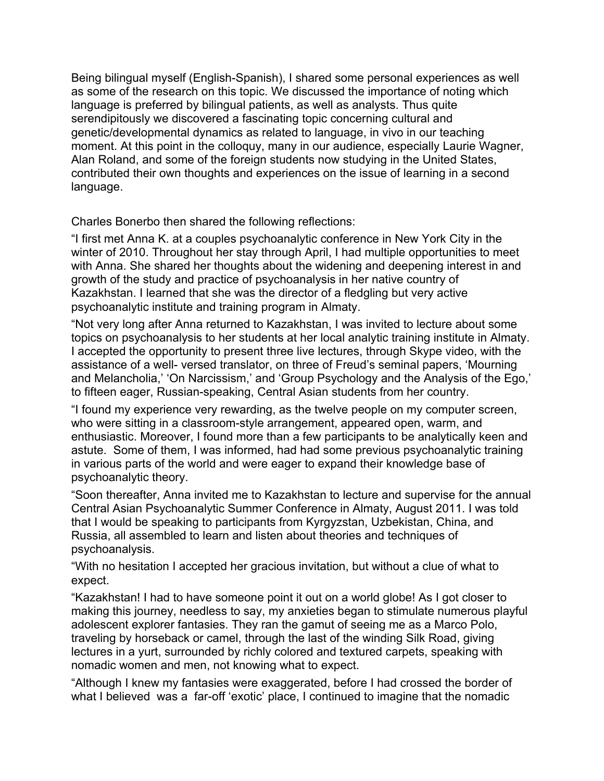Being bilingual myself (English-Spanish), I shared some personal experiences as well as some of the research on this topic. We discussed the importance of noting which language is preferred by bilingual patients, as well as analysts. Thus quite serendipitously we discovered a fascinating topic concerning cultural and genetic/developmental dynamics as related to language, in vivo in our teaching moment. At this point in the colloquy, many in our audience, especially Laurie Wagner, Alan Roland, and some of the foreign students now studying in the United States, contributed their own thoughts and experiences on the issue of learning in a second language.

Charles Bonerbo then shared the following reflections:

"I first met Anna K. at a couples psychoanalytic conference in New York City in the winter of 2010. Throughout her stay through April, I had multiple opportunities to meet with Anna. She shared her thoughts about the widening and deepening interest in and growth of the study and practice of psychoanalysis in her native country of Kazakhstan. I learned that she was the director of a fledgling but very active psychoanalytic institute and training program in Almaty.

"Not very long after Anna returned to Kazakhstan, I was invited to lecture about some topics on psychoanalysis to her students at her local analytic training institute in Almaty. I accepted the opportunity to present three live lectures, through Skype video, with the assistance of a well- versed translator, on three of Freud's seminal papers, 'Mourning and Melancholia,' 'On Narcissism,' and 'Group Psychology and the Analysis of the Ego,' to fifteen eager, Russian-speaking, Central Asian students from her country.

"I found my experience very rewarding, as the twelve people on my computer screen, who were sitting in a classroom-style arrangement, appeared open, warm, and enthusiastic. Moreover, I found more than a few participants to be analytically keen and astute. Some of them, I was informed, had had some previous psychoanalytic training in various parts of the world and were eager to expand their knowledge base of psychoanalytic theory.

"Soon thereafter, Anna invited me to Kazakhstan to lecture and supervise for the annual Central Asian Psychoanalytic Summer Conference in Almaty, August 2011. I was told that I would be speaking to participants from Kyrgyzstan, Uzbekistan, China, and Russia, all assembled to learn and listen about theories and techniques of psychoanalysis.

"With no hesitation I accepted her gracious invitation, but without a clue of what to expect.

"Kazakhstan! I had to have someone point it out on a world globe! As I got closer to making this journey, needless to say, my anxieties began to stimulate numerous playful adolescent explorer fantasies. They ran the gamut of seeing me as a Marco Polo, traveling by horseback or camel, through the last of the winding Silk Road, giving lectures in a yurt, surrounded by richly colored and textured carpets, speaking with nomadic women and men, not knowing what to expect.

"Although I knew my fantasies were exaggerated, before I had crossed the border of what I believed was a far-off 'exotic' place, I continued to imagine that the nomadic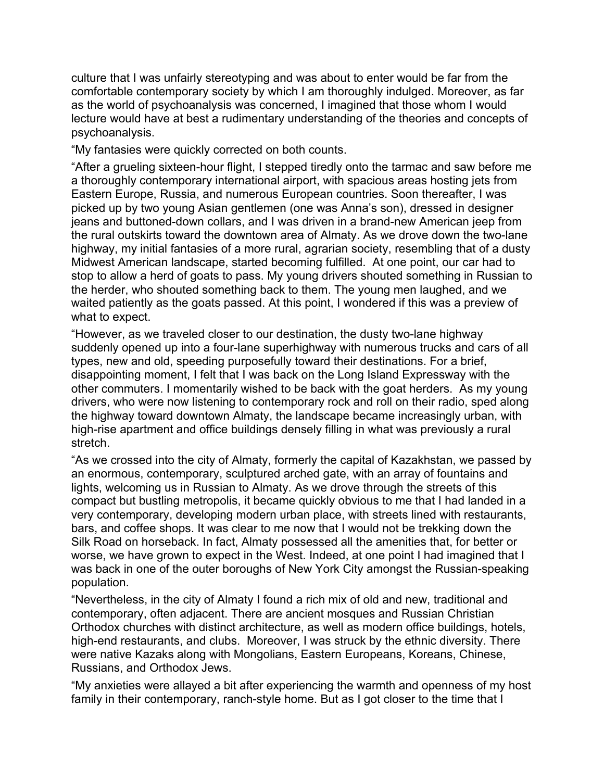culture that I was unfairly stereotyping and was about to enter would be far from the comfortable contemporary society by which I am thoroughly indulged. Moreover, as far as the world of psychoanalysis was concerned, I imagined that those whom I would lecture would have at best a rudimentary understanding of the theories and concepts of psychoanalysis.

"My fantasies were quickly corrected on both counts.

"After a grueling sixteen-hour flight, I stepped tiredly onto the tarmac and saw before me a thoroughly contemporary international airport, with spacious areas hosting jets from Eastern Europe, Russia, and numerous European countries. Soon thereafter, I was picked up by two young Asian gentlemen (one was Anna's son), dressed in designer jeans and buttoned-down collars, and I was driven in a brand-new American jeep from the rural outskirts toward the downtown area of Almaty. As we drove down the two-lane highway, my initial fantasies of a more rural, agrarian society, resembling that of a dusty Midwest American landscape, started becoming fulfilled. At one point, our car had to stop to allow a herd of goats to pass. My young drivers shouted something in Russian to the herder, who shouted something back to them. The young men laughed, and we waited patiently as the goats passed. At this point, I wondered if this was a preview of what to expect.

"However, as we traveled closer to our destination, the dusty two-lane highway suddenly opened up into a four-lane superhighway with numerous trucks and cars of all types, new and old, speeding purposefully toward their destinations. For a brief, disappointing moment, I felt that I was back on the Long Island Expressway with the other commuters. I momentarily wished to be back with the goat herders. As my young drivers, who were now listening to contemporary rock and roll on their radio, sped along the highway toward downtown Almaty, the landscape became increasingly urban, with high-rise apartment and office buildings densely filling in what was previously a rural stretch.

"As we crossed into the city of Almaty, formerly the capital of Kazakhstan, we passed by an enormous, contemporary, sculptured arched gate, with an array of fountains and lights, welcoming us in Russian to Almaty. As we drove through the streets of this compact but bustling metropolis, it became quickly obvious to me that I had landed in a very contemporary, developing modern urban place, with streets lined with restaurants, bars, and coffee shops. It was clear to me now that I would not be trekking down the Silk Road on horseback. In fact, Almaty possessed all the amenities that, for better or worse, we have grown to expect in the West. Indeed, at one point I had imagined that I was back in one of the outer boroughs of New York City amongst the Russian-speaking population.

"Nevertheless, in the city of Almaty I found a rich mix of old and new, traditional and contemporary, often adjacent. There are ancient mosques and Russian Christian Orthodox churches with distinct architecture, as well as modern office buildings, hotels, high-end restaurants, and clubs. Moreover, I was struck by the ethnic diversity. There were native Kazaks along with Mongolians, Eastern Europeans, Koreans, Chinese, Russians, and Orthodox Jews.

"My anxieties were allayed a bit after experiencing the warmth and openness of my host family in their contemporary, ranch-style home. But as I got closer to the time that I